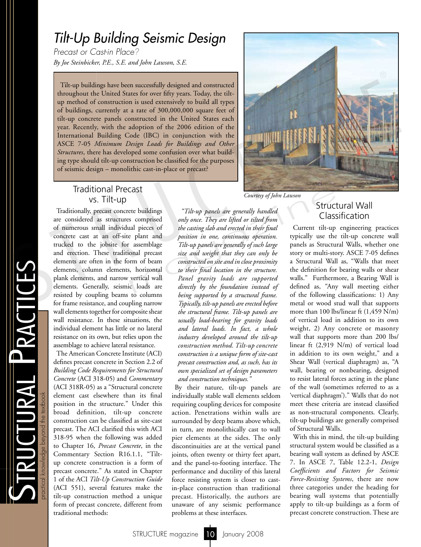# *Tilt-Up Building Seismic Design*

*Precast or Cast-in Place? By Joe Steinbicker, P.E., S.E. and John Lawson, S.E.*

Tilt-up buildings have been successfully designed and constructed throughout the United States for over fifty years. Today, the tiltup method of construction is used extensively to build all types of buildings, currently at a rate of 300,000,000 square feet of tilt-up concrete panels constructed in the United States each year. Recently, with the adoption of the 2006 edition of the International Building Code (IBC) in conjunction with the ASCE 7-05 *Minimum Design Loads for Buildings and Other*<br>*Structures*, there has developed some confusion over what build-*Structures*, there has developed some confusion over what building type should tilt-up construction be classified for the purposes of seismic design – monolithic cast-in-place or precast?



#### Traditional Precast vs. Tilt-up

Traditionally, precast concrete buildings are considered as structures comprised of numerous small individual pieces of concrete cast at an off-site plant and trucked to the jobsite for assemblage and erection. These traditional precast elements are often in the form of beam elements, column elements, horizontal plank elements, and narrow vertical wall elements. Generally, seismic loads are resisted by coupling beams to columns for frame resistance, and coupling narrow wall elements together for composite shear wall resistance. In these situations, the individual element has little or no lateral resistance on its own, but relies upon the assemblage to achieve lateral resistance.

The American Concrete Institute (ACI) defines precast concrete in Section 2.2 of *Building Code Requirements for Structural Concrete* (ACI 318-05) and *Commentary*  (ACI 318R-05) as a "Structural concrete element cast elsewhere than its final position in the structure." Under this broad definition, tilt-up concrete construction can be classified as site-cast precast. The ACI clarified this with ACI 318-95 when the following was added to Chapter 16, *Precast Concrete*, in the Commentary Section R16.1.1, "Tiltup concrete construction is a form of precast concrete." As stated in Chapter 1 of the ACI *Tilt-Up Construction Guide* (ACI 551), several features make the tilt-up construction method a unique form of precast concrete, different from traditional methods:

*"Tilt-up panels are generally handled only once. They are lifted or tilted from the casting slab and erected in their final position in one, continuous operation. Tilt-up panels are generally of such large size and weight that they can only be constructed on site and in close proximity to their final location in the structure. Panel gravity loads are supported directly by the foundation instead of being supported by a structural frame. Typically, tilt-up panels are erected before the structural frame. Tilt-up panels are usually load-bearing for gravity loads and lateral loads. In fact, a whole industry developed around the tilt-up construction method. Tilt-up concrete construction is a unique form of site-cast precast construction and, as such, has its own specialized set of design parameters and construction techniques."* Courtesy of John Lawson<br>
ete buildings "Tilt-up panels are generally handled Struct<br>
so comprised only once. They are lifted or tilted from Class<br>
all pieces of the casting slab and erected in their final Current tilt-up<br>

> By their nature, tilt-up panels are individually stable wall elements seldom requiring coupling devices for composite action. Penetrations within walls are surrounded by deep beams above which, in turn, are monolithically cast to wall pier elements at the sides. The only discontinuities are at the vertical panel joints, often twenty or thirty feet apart, and the panel-to-footing interface. The performance and ductility of this lateral force resisting system is closer to castin-place construction than traditional precast. Historically, the authors are unaware of any seismic performance problems at these interfaces.

### Structural Wall Classification

Current tilt-up engineering practices typically use the tilt-up concrete wall panels as Structural Walls, whether one story or multi-story. ASCE 7-05 defines a Structural Wall as, "Walls that meet the definition for bearing walls or shear walls." Furthermore, a Bearing Wall is defined as, "Any wall meeting either of the following classifications: 1) Any metal or wood stud wall that supports more than 100 lbs/linear ft (1,459 N/m) of vertical load in addition to its own weight, 2) Any concrete or masonry wall that supports more than 200 lbs/ linear ft (2,919 N/m) of vertical load in addition to its own weight," and a Shear Wall (vertical diaphragm) as, "A wall, bearing or nonbearing, designed to resist lateral forces acting in the plane of the wall (sometimes referred to as a 'vertical diaphragm')." Walls that do not meet these criteria are instead classified as non-structural components. Clearly, tilt-up buildings are generally comprised of Structural Walls.

With this in mind, the tilt-up building structural system would be classified as a bearing wall system as defined by ASCE 7. In ASCE 7, Table 12.2-1, *Design Coefficients and Factors for Seismic Force-Resisting Systems*, there are now three categories under the heading for bearing wall systems that potentially apply to tilt-up buildings as a form of precast concrete construction. These are

 $\boldsymbol{\mathcal{U}}$ 

TRUCTURAL PRACTICE

TURAL PRACTICES

practical knowledge beyond the textbook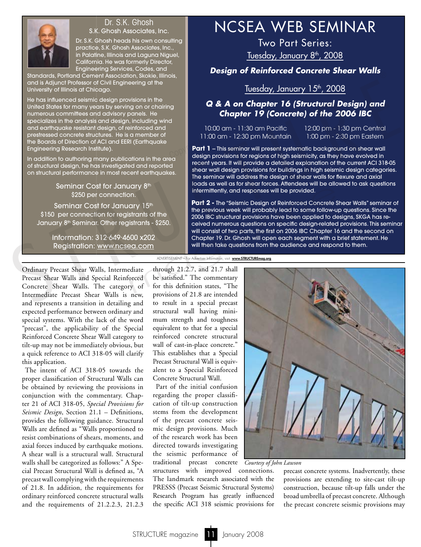

# Dr. S.K. Ghosh

Dr. S.K. Ghosh heads his own consulting practice, S.K. Ghosh Associates, Inc., in Palatine, Illinois and Laguna Niguel, California. He was formerly Director, Engineering Services, Codes, and

Standards, Portland Cement Association, Skokie, Illinois, and is Adjunct Professor of Civil Engineering at the University of Illinois at Chicago.

He has influenced seismic design provisions in the United States for many years by serving on or chairing numerous committees and advisory panels. He specializes in the analysis and design, including wind and earthquake resistant design, of reinforced and prestressed concrete structures. He is a member of the Boards of Direction of ACI and EERI (Earthquake Engineering Research Institute).

In addition to authoring many publications in the area of structural design, he has investigated and reported on structural performance in most recent earthquakes.

> Seminar Cost for January 8<sup>th</sup> \$250 per connection.

Seminar Cost for January 15<sup>th</sup> \$150 per connection for registrants of the January 8<sup>th</sup> Seminar. Other registrants - \$250.

> Information: 312. 649. 4600 x202 Registration: www.ncsea.com

# Dr. S.K. Ghosh **NCSEA WEB SEMINAR**

Two Part Series: Tuesday, January 8<sup>th</sup>, 2008

*Design of Reinforced Concrete Shear Walls*

## Tuesday, January 15<sup>th</sup>, 2008

#### *Q & A on Chapter 16 (Structural Design) and Chapter 19 (Concrete) of the 2006 IBC*

10:00 am - 11:30 am Pacific 11:00 am - 12:30 pm Mountain 12:00 pm - 1:30 pm Central 1:00 pm - 2:30 pm Eastern

**Part 1** - This seminar will present systematic background on shear wall design provisions for regions of high seismicity, as they have evolved in recent years. It will provide a detailed explanation of the current ACI 318-05 shear wall design provisions for buildings in high seismic design categories. The seminar will address the design of shear walls for flexure and axial loads as well as for shear forces. Attendees will be allowed to ask questions intermittently, and responses will be provided.  $\begin{array}{c} \begin{array}{c} \mathsf{p}_{\mathsf{G}} \end{array} \end{array}$ 

**Part 2 -** The "Seismic Design of Reinforced Concrete Shear Walls" seminar of the previous week will probably lead to some follow-up questions. Since the 2006 IBC structural provisions have been applied to designs, SKGA has received numerous questions on specific design-related provisions. This seminar will consist of two parts, the first on 2006 IBC Chapter 16 and the second on Chapter 19. Dr. Ghosh will open each segment with a brief statement. He will then take questions from the audience and respond to them. Similar Detection and Association Similar Cost of Chinameteria Brass Near Weiss (and Adjund Profession Chinameteria Brass Near Weiss (and a straining the University filling the University of the case of Chinameters and de Solution of the strandard and the previous week will probably lead to some follow-u<br>sistrants of the sistems of the previous week will probably lead to some follow-u<br>sistrants - \$250.<br>SOO x202 and the previous vector and p

ADVERTISEMENT – For Advertiser Information, visit www.STRUCTUREmag.org

Ordinary Precast Shear Walls, Intermediate Precast Shear Walls and Special Reinforced Concrete Shear Walls. The category of Intermediate Precast Shear Walls is new, and represents a transition in detailing and expected performance between ordinary and special systems. With the lack of the word "precast", the applicability of the Special Reinforced Concrete Shear Wall category to tilt-up may not be immediately obvious, but a quick reference to ACI 318-05 will clarify this application.

The intent of ACI 318-05 towards the proper classification of Structural Walls can be obtained by reviewing the provisions in conjunction with the commentary. Chapter 21 of ACI 318-05, *Special Provisions for Seismic Design*, Section 21.1 – Definitions, provides the following guidance. Structural Walls are defined as "Walls proportioned to resist combinations of shears, moments, and axial forces induced by earthquake motions. A shear wall is a structural wall. Structural walls shall be categorized as follows:" A Special Precast Structural Wall is defined as, "A precast wall complying with the requirements of 21.8. In addition, the requirements for ordinary reinforced concrete structural walls and the requirements of 21.2.2.3, 21.2.3 through 21.2.7, and 21.7 shall be satisfied." The commentary for this definition states, "The provisions of 21.8 are intended to result in a special precast structural wall having minimum strength and toughness equivalent to that for a special reinforced concrete structural wall of cast-in-place concrete." This establishes that a Special Precast Structural Wall is equivalent to a Special Reinforced Concrete Structural Wall.

Part of the initial confusion regarding the proper classification of tilt-up construction stems from the development of the precast concrete seismic design provisions. Much of the research work has been directed towards investigating the seismic performance of traditional precast concrete *Courtesy of John Lawson*

structures with improved connections. The landmark research associated with the PRESSS (Precast Seismic Structural Systems) Research Program has greatly influenced the specific ACI 318 seismic provisions for



precast concrete systems. Inadvertently, these provisions are extending to site-cast tilt-up construction, because tilt-up falls under the broad umbrella of precast concrete. Although the precast concrete seismic provisions may